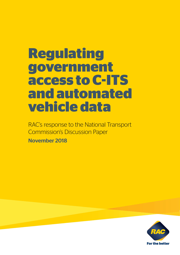# **Regulating government access to C-ITS and automated vehicle data**

RAC's response to the National Transport Commission's Discussion Paper

November 2018

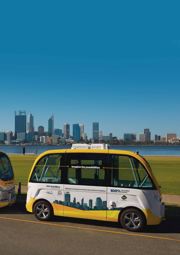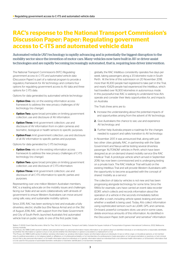# **RAC's response to the National Transport Commission's Discussion Paper: Paper: Regulating government access to C-ITS and automated vehicle data**

Automated vehicle (AV) technology is rapidly advancing and is potentially the biggest disruption to the mobility sector since the invention of motor cars. Many vehicles now have built in AV or driver-assist technologies and are rapidly becoming increasingly automated, that is, requiring less driver intervention.

The National Transport Commission's (NTC) *Regulating government access to C-ITS and automated vehicle data*  (Discussion Paper) is part of a national program to provide a regulatory framework for AV technology and contains four options for regulating government access to AV data and three options for C-ITS data.

Options for data generated by automated vehicle technology:

- **»** Option One: rely on the existing information access framework to address the new privacy challenges of AV technology (no change).
- **»** Option Two: agree broad principles on limiting government collection, use and disclosure of AV information.
- **»** Option Three: limit government collection, use and disclosure of AV information from in-cabin cameras and biometric, biological or health sensors to specific purposes.
- **Option Four:** limit government collection, use and disclosure of all AV information to specific parties and purposes.

Options for data generated by C-ITS technology:

- **Option One:** rely on the existing information access framework to address the new privacy challenges of C-ITS technology (no change).
- **Option Two:** agree broad principles on limiting government collection, use and disclosure of C-ITS information.
- **»** Option Three: limit government collection, use and disclosure of all C-ITS information to specific parties and purposes.

Representing over one million Western Australian members, RAC is a leading advocate on the mobility issues and challenges facing our State and we work collaboratively with all levels of government to ensure Western Australians can move around using safe, easy, and sustainable mobility options.

Since 2015, RAC has been working to test and evaluate a fully driverless, electric shuttle bus (the Navya Arma) and on the 31st of August 2016, RAC, with support from the State Government and City of South Perth, launched Australia's first automated vehicle trial on public roads. In one of the first public trials

globally, the RAC Intellibus consistently operates five days per week, taking passengers along a 3.5 kilometre route in South Perth. At the time of this submission on 20 November 2018, more than 16,300 people had registered to take part in the Trial, and nearly 10,629 people had experienced the Intellibus, which had travelled over 16,300 kilometres in autonomous mode. In this purposeful trial, RAC is seeking to understand how AVs operate and consider their likely opportunities for, and impacts on Australia.

The Trial's three aims are to:

- 1. Increase the understanding about the potential impacts of and opportunities arising from the advent of AV technology;
- 2. Give Australians the chance to see, use and experience AV technology; and
- **3.** Further help Australia prepare a roadmap for the changes needed to support and safely transition to AV technology.

In November 2017, it was announced that, along with just two other cities globally, RAC, in partnership with the State Government and Navya will be testing several driverless passenger 'AUTONOM' vehicles in Perth, which have been designed as an on-demand shared mobility service (the RAC Intellicar Trial). A prototype vehicle which arrived in September 2018, has now been commissioned and is undergoing testing on a private track. The RAC Intellicar Trial will build on the existing Intellibus Trial and will provide Western Australians with the opportunity to become acquainted with the concept of shared 'mobility as a service'.

The collection of data by vehicles is not new and has been progressing alongside technology for some time. Since the 1990s for example, cars have carried an event data recorder (EDR)1 , which collects and records information about the operation of a vehicle in the seconds immediately before and after a crash, including vehicle speed, braking and even whether a seatbelt is being used. Today, AVs collect information using sophisticated sensors such as LiDAR, GPS, and cameras. On-board, powerful computers store, use and in some cases, delete enormous amounts of this information. As identified in the Discussion Paper, both personal<sup>2</sup> and sensitive<sup>3</sup> information

<sup>1</sup> Bellion, P. (2002). Event Data Recorders: What Do They Tell Us? in Operations, Transport and Safety: Outside the Square: Institute of Transportation Engineers International Conference, 2002, Melbourne, Victoria, Australia.

<sup>2</sup> The Privacy Act 1988 (Cwlth) section 6 defines 'personal information' as: personal information means information or an opinion about an identified individual, or an individual who is reasonably identifiable: (a) whether the information or opinion is true or not; and (b) whether the information or opinion is recorded in a material form or not.

<sup>&</sup>lt;sup>3</sup>The Privacy Act 1988 (Cwlth) section 6 defines 'sensitive information' as: sensitive information means: (a) information about an individual's: (i) race or ethnic origin; or (ii) political opinions; or (iii) membership of a political association; or (iv) religious beliefs or affiliations; or (v) philosophical beliefs; or (vi) membership of a professional or trade association; or (vii) sexual orientation or practices; or (viii) crimi record; that is also personal information; or (b) health information about an individual; or (c) genetic information about an individual that is not otherwise health information; or (d) biometric information that is to be used for the purpose of automated biometric verification or biometric identification; or (e) biometric templates.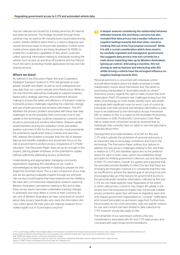may be collected and stored for a limited period by AV internal and external cameras. The footage recorded through these cameras may be used by AV manufacturers (automated driving system entities (ADSEs)) when there is a need to diagnose and resolve technical issues to ensure safe operation. Further some mobile phone applications are being developed by ADSEs to enable the on-demand capabilities of AVs, which could also collect 'personal' information relating to individuals booking the vehicle (such as pick up and drop off locations and trip history), much the same as existing mobile applications for taxi and ridesharing services.

#### Where we stand

As outlined in the Discussion Paper, AVs and Cooperative Intelligent Transport Systems (C-ITS)<sup>4</sup> will generate an even greater breadth and depth, as well as more widespread and new data than our current vehicles and infrastructure. While on the one hand this data will be invaluable to support evidencebased policy, strategic planning, and investment decisionmaking to ensure the safety and efficiency of transport systems, it presents privacy challenges regarding the collection, storage and use of both personal and sensitive information. The NTC identifies the primary problem associated with these new data challenges to be the possibility that community trust in and uptake of the technology could be impeded by concerns over access to personal and sensitive information. Delayed uptake would therefore prolong the realisation of the anticipated positive outcomes of AVs for the community, most importantly the potential to significantly reduce crashes and save lives. RAC believes the problem is broader than the risk of delayed take-up and benefits realisation and should also focus on the role of government to protect privacy, irrespective of C-ITS/AV saturation. The Discussion Paper does not go far enough in this respect, placing greater emphasis on the potential for uptake without sufficiently addressing privacy protections.

Understanding and appropriately managing community expectations regarding AVs operating on our roads is acknowledged as being essential in helping to prepare for and shape the driverless future. This is a key component of our trials and we are gaining invaluable insights through pre and postride surveys of participants that have experienced the Intellibus. We have also commissioned independent research exploring Western Australians' perceptions relating to AVs and to date, three survey waves have been undertaken tracking changes in sentiment over time. When it comes to their concerns, 63 per cent of Western Australians do have some level of concern about data privacy (specifically, who owns the information AVs may collect about the trips users are making), however this is ranked eighth out of 13 prompted concerns<sup>5</sup>.

A deeper analysis considering the relationship between attitudes towards AVs and these concerns has also revealed that data privacy has a weaker influence on negative feelings towards AVs than other concerns (ranking 11th out of the 13 prompted concerns)6. While it is still a crucial consideration which does need to be carefully regulated and managed by government, this suggests data privacy may not currently be a main driver impacting take-up by Western Australians (giving up control / entrusting a machine, AVs not driving as well as humans and interacting with AVs whilst driving a vehicle have the strongest influence on negative feelings towards AVs).

Personal autonomy is concerned with individual control and self-determination and is the ability of people to make independent choices about themselves and "the desire to avoid being manipulated or dominated wholly by others"?. Autonomy privacy regards the right to make choices free from observation. AVs/C-ITS present new challenges arising from the ability of technology to more readily identify, track, and profile individuals (with significant room for error). Lack of control by individuals over their personal and sensitive information is a key issue to be addressed by the Information Access Framework (IAF) in relation to AVs. In a report by the Australian Productivity Commission in 2016, Productivity Commission Chair, Peter Harris, noted most consumers would be surprised that, as individuals, they currently have no rights to own the data that is collected about them.

Development and implementation of an IAF for AVs and C-ITS which upholds the protection of personal autonomy is an important step to encourage confidence and trust in the technology. The Discussion Paper outlines four options to address the new privacy challenges relating to AVs, and three in relation to C-ITS, and identifies option two as the preferred option for each. In both cases, option two establishes broad principles for limiting government collection, use and disclosure of AV/C-ITS information. Overall, it is agreed and supported that the principles provide flexibility to reflect the fact that these are emerging technologies, however it is considered that they may be insufficient to achieve the desired goal of securing trust and encouraging take up if the reasons for government access to the personal and/or sensitive information collected by AVs and C-ITS are not made explicitly clear. Regardless of the extent to which data privacy concerns may impact AV uptake, in the shorter term the proposed principles may not provide suitable privacy protection given they will have no legislative basis and only require government organisations to "consider" notification and consent (principles six and seven, page five). Furthermore, the principles do not cover secondary uses nor specific reasons for use, and consent has been limited to data collection by C-ITS, however should also apply to AVs.

The remainder of our submission outlines a few key considerations associated with AV and C-ITS data privacy and concludes with eight broad recommendations.

4 C-ITS is a technology platform that enables wireless communication and real-time information sharing between vehicles, roads, roadside infrastructure and other infrastructure. In the context of Vehicle-to-Everything (V2X) communications, this could also include other road users such as pedestrians and cyclists. 5 RAC (2018). Automated vehicles: Community perceptions monitor.

<sup>6</sup>Note the survey did not evaluate the extent to which the community understands what data could be collected and how it might be used 7 Westin, A. (1967). Privacy and freedom (1st ed.] ed.). New York: Atheneum.p.7.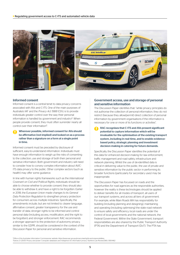

#### Informed consent

Informed consent is a central tenet to data privacy concerns associated with AVs and C-ITS. One of the main purposes of Australia's IAF and the *Privacy Act 1988* (Cth), is to provide individuals greater control over the way their personal information is handled by government and industry<sup>8</sup>. When people provide consent, they must often surrender nearly all control over their information<sup>9</sup>.

#### Wherever possible, informed consent for AVs should be affirmative (not implied) and looked on as a process rather than a signature on a form at a single point in time.

Informed consent must be preceded by disclosure of sufficient, easy-to-understand information. Individuals must have enough information to weigh up the risks of consenting to the collection, use and storage of both their personal and sensitive information. Both government and industry will need to consider how to convey complex information about AV/C-ITS data privacy to the public. Other complex sectors (such as health) may offer some guidance.

In line with human rights frameworks such as the *International Covenant on Civil and Political Rights*, individuals should be able to choose whether to provide consent; they should also be able to withdraw it; and have a right to be forgotten. Earlier in 2018, the European Union made changes to its *General Data Protection Regulation* to strengthen privacy protection for consumers across multiple industries. Specifically, the amendments include, but are not limited to: clearer language, affirmative consent, greater transparency for the use and transfer of data; stronger rights to be informed and control personal data (including access, modification, and the right to be forgotten); and stronger enforcement. RAC recommends a stronger approach to the protection of autonomy privacy, similar to the GDPR, should be considered in the context of the Discussion Paper for personal and sensitive information.

## Government access, use and storage of personal and sensitive information

The Discussion Paper identifies that: "while privacy principles do not authorise the collection of personal information, they do not restrict (because they allow/permit) direct collection of personal information by government organisations if the information is necessary for one or more of its functions or activities".

RAC recognises that C-ITS and AVs present significant  $\mathbf \Omega$ potential to capture information which will be invaluable for the optimisation of the existing transport system, including in real-time, and to enable evidencebased policy, strategic planning and investment decision-making in catering for future demands.

Specifically, the Discussion Paper identifies the potential of this data for enhanced decision-making for law enforcement, traffic management and road safety, infrastructure and network planning. Whilst the use of de-identified data is critical in delivering value to the public, the use of private and sensitive information by the public sector in performing its broader functions (particularly for secondary uses) may be inappropriate.

The Discussion Paper has focussed on roads and the opportunities for road agencies as the responsible authorities, however the reality is these technologies should be applied to deliver benefits for all modes of transport, all users of our transport systems, and across all tiers of government. For example, while Main Roads WA has responsibility for building (including planning and designing), maintaining and operating (including optimising) the state road network to ensure safety and efficiency, local roads are under the control of local governments and the national network, the Federal Government. Within the State Government, transport responsibilities are also shared by the Public Transport Authority (PTA) and the Department of Transport (DoT). The PTA has

<sup>8</sup> Office of the Australian Information Commissioner website: https://www.oaic.gov.au/privacy-law/rights-and-responsibilities. 9 Solove, D. (2001). Privacy and power: Computer databases and metaphors for information privacy. Stanford Law Review,53(6), 1393-1462.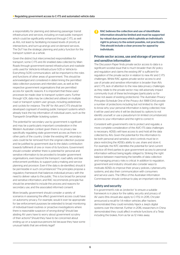a responsibility for planning and delivering passenger transit infrastructure and services, including on-road public transport which could be significantly enhanced through C-ITS, as well as AVs, not least by facilitating increased levels of priority at intersections, and turn-up-and-go and on-demand services. The DoT has the strategic planning and policy function for the transport system as a whole.

Given the distinct but interconnected responsibilities for transport, some C-ITS and AV enabled data collected by Main Roads through government-owned infrastructure and roadside units used for Vehicle-to-Infrastructure (V2I) or Vehicle-to-Everything (V2X) communication, will be important to the roles and functions of other areas of government. This should be acknowledged and considered in determining the permitted data collection purposes and intended uses, as well as the respective government organisations that are permitted access for specific reasons. It is important that these uses/ processes be made clear to transport system users. Further through V2X, data may be collected and utilised on multiple road or transport system user groups, including pedestrians and cyclists for instance. The IAF for AVs and C-ITS should be developed cognisant of existing public transport systems which already track the trip information of individual users, such as the Transperth SmartRider ticketing system.

The potential for secondary use by government is significant and may be a particularly important consideration in the Western Australian context given there is no privacy law specifically regulating state government access as there is in other parts of the country. Under the existing IAF, secondary uses could be far removed from the original collection purpose and be justified by government due to the data's contribution towards fulfilment of one or more of its functions. Government should consider whether there is potential for personal and sensitive information to be provided to broader government organisations, even beyond the transport, road safety and law enforcement portfolios, to support policy-making and service planning and provision. Even if the data is de-identified, should it be permissible in such circumstances? The principles propose a regulatory framework that balances individual privacy with the need to deliver value to the public. This is too broad for personal and sensitive information, and RAC recommends principle five should be amended to include the process and reasons for secondary use, and the associated informed consent.

More broadly, government should consider a variety of scenarios in assessing the effect government access could have on autonomy privacy. For example, would it ever be appropriate for law enforcement purposes be extended to broad monitoring of individual travel routines or proactive investigations where there is reasonable suspicion of wrong-doing? Should law abiding AV users have to worry about government scrutiny of their actions? Should they have to be concerned about ending up on a suspicious-persons list because they have some unusual habits that are entirely legal?

RAC believes the collection and use of identifiable information should be limited and must be supported by robust due process which upholds an individual's right to privacy to the extent possible, not practicable. This should include a clear process for appeal by individuals.

## Private sector access, use and storage of personal and sensitive information

The Discussion Paper finds private sector access to data is a significant societal issue that is much broader than AV policy and regulation and claims the existing IAF is sufficient for regulation of the private sector in relation to new AV and C-ITS challenges. Whilst RAC agrees private sector access to and use of private and sensitive information is broader than AVs and C-ITS, lack of attention to the new data privacy challenges as they relate to the private sector may still adversely impact community trust of these technologies (particularly so for those not aware of existing protections). The *Australian Privacy Principles* (Schedule One of the *Privacy Act 1988* (Cth)) provide a number of protections including but not limited to: the right to know why your personal information is being collected, how it will be used and who it will be disclosed to; options to not identify yourself, or use a pseudonym (in limited circumstances); access to your information and the right to correct it.

Consistent with government's role to protect and regulate, a more complete consideration of the AV/C-ITS data challenges is necessary. ADSEs will have access to and hold all the data collected by AVs. Given the potential for this information to be both personal and sensitive, strict controls must be in place restricting the ADSEs ability to use, share and store it. For example, the NTC identifies the potential for (and current practice of) third parties to give government access to personal information without being legally obliged to. Striking the right balance between maximising the benefits of data collection and managing privacy risks is critical. In addition to regulation, government and industry should also consider ways to motivate ADSEs to improve their privacy policies, cybersecurity systems, and also their communication with consumers and service users. The Office of the Australian Information Commissioner should continue to play an important role in this.

#### Safety and security

It is government's role as 'protector' to ensure a suitable framework is in place for the safety, security and privacy of AV users (this should also apply to C-ITS). In 2015, Chrysler announced a recall for 1.4 million vehicles after hackers demonstrated they could remotely hijack a Jeep's digital systems over the internet. Further in 2016, researchers in China demonstrated they could affect in-vehicle functions of a Tesla including the brakes, from as far as 12 miles away.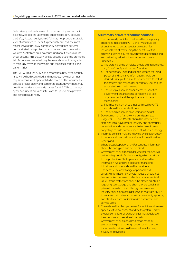Data privacy is closely related to cyber security, and whilst it is acknowledged the latter to be out of scope, RAC believes the Safety Assurance System (SAS) may not provide a suitable level of assurance to users. As previously outlined, the most recent wave of RAC's AV community perceptions surveys demonstrated data protection is of concern and three in four Western Australians are also concerned about issues around cyber security (this actually ranked second out of the prompted list of concerns, preceded only by fears about not being able to manually override the vehicle and take back control if the system fails).

The SAS will require ADSEs to demonstrate how cybersecurity risks will be both controlled and managed, however will not require a consistent approach to be taken by the industry. To provide greater clarity and comfort to users, government may need to consider a standard process for all ADSEs to manage cyber security threats and intrusions to uphold data privacy and personal autonomy.

#### A summary of RAC's recommendations:

- 1. The proposed principles to address the data privacy challenges in relation to C-ITS and AVs should be strengthened to ensure greater protection for individuals whilst maximising the benefits of this emerging technology for government decision-making and delivering value for transport system users. Specifically:
	- a. The wording of the principles should be strengthened, e.g. "must" notify and not only "consider".
	- b. The secondary uses and specific reasons for using personal and sensitive information should be clarified. Principle five should be amended to include the process and reasons for secondary use, and the associated informed consent.
	- c. The principles should cover access by specified government organisations, considering all tiers of government and the applications of these technologies.
	- d. Informed consent should not be limited to C-ITS and should be extended to AVs.
	- e. The principles should have legislative weight.
- 2. Development of a framework around permitted usage of C-ITS and AV data should be informed by state and local government, industry and community consultation and communicated effectively from an early stage to build community trust in the technology.
- 3. Informed consent must be followed by sufficient, easy to understand information, and should be affirmative, not implied.
- 4. Where possible, personal and/or sensitive information should be encrypted and de-identified.
- 5. Government should reconsider whether the SAS will deliver a high level of cyber security, which is critical to the protection of both personal and sensitive information. A standard process for managing intrusions and threats should be considered.
- 6. The access, use and storage of personal and sensitive information by private industry should not be overlooked because it reflects a broader societal issue. Strong restrictions should be placed on ADSEs regarding use, storage, and sharing of personal and private information. In addition, government and industry should also consider ways to motivate ADSEs to improve their privacy policies, cybersecurity systems, and also their communication with consumers and service users.
- 7. There should be clear processes for individuals to make appeals, withdraw consent and 'be forgotten'. This will provide some level of ownership for individuals over their personal and sensitive information.
- 8. Government should consider a broad range of scenarios to gain a thorough understanding of the impact each option could have on the autonomy privacy of individuals.